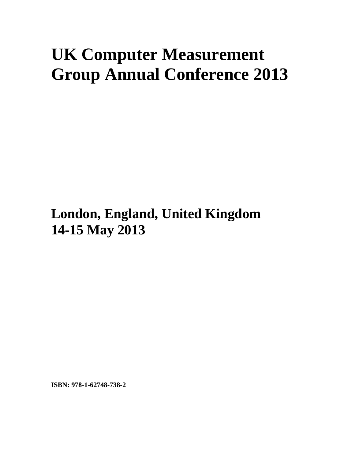## **UK Computer Measurement Group Annual Conference 2013**

**London, England, United Kingdom 14-15 May 2013**

**ISBN: 978-1-62748-738-2**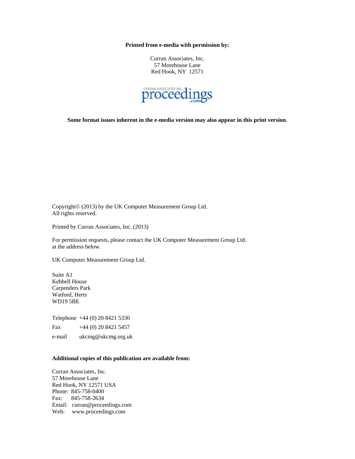**Printed from e-media with permission by:** 

Curran Associates, Inc. 57 Morehouse Lane Red Hook, NY 12571



**Some format issues inherent in the e-media version may also appear in this print version.** 

Copyright© (2013) by the UK Computer Measurement Group Ltd. All rights reserved.

Printed by Curran Associates, Inc. (2013)

For permission requests, please contact the UK Computer Measurement Group Ltd. at the address below.

UK Computer Measurement Group Ltd.

Suite A1 Kebbell House Carpenders Park Watford, Herts WD19 5BE

Telephone +44 (0) 20 8421 5330

Fax  $+44(0)$  20 8421 5457

e-mail ukcmg@ukcmg.org.uk

## **Additional copies of this publication are available from:**

Curran Associates, Inc. 57 Morehouse Lane Red Hook, NY 12571 USA Phone: 845-758-0400 Fax: 845-758-2634 Email: curran@proceedings.com Web: www.proceedings.com